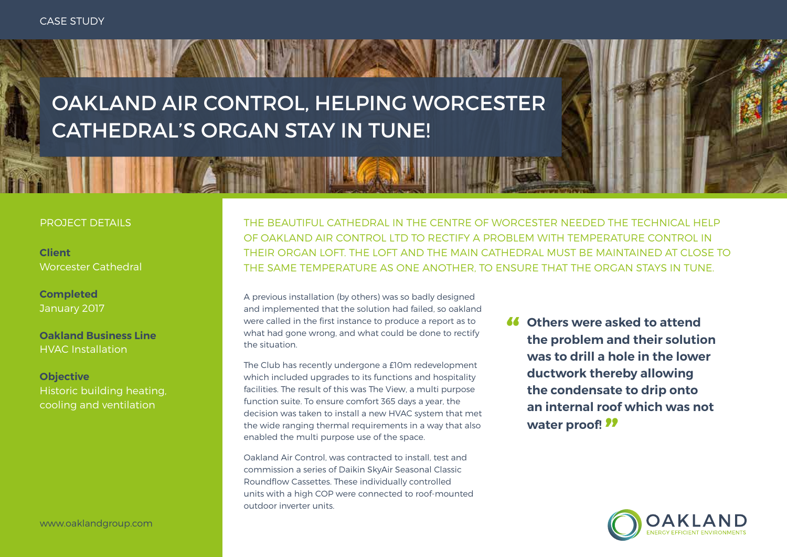OAKLAND AIR CONTROL, HELPING WORCESTER CATHEDRAL'S ORGAN STAY IN TUNE!

### PROJECT DETAILS

**Client** Worcester Cathedral

**Completed** January 2017

**Oakland Business Line** HVAC Installation

**Objective** Historic building heating, cooling and ventilation

www.oaklandgroup.com

THE BEAUTIFUL CATHEDRAL IN THE CENTRE OF WORCESTER NEEDED THE TECHNICAL HELP OF OAKLAND AIR CONTROL LTD TO RECTIFY A PROBLEM WITH TEMPERATURE CONTROL IN THEIR ORGAN LOFT. THE LOFT AND THE MAIN CATHEDRAL MUST BE MAINTAINED AT CLOSE TO THE SAME TEMPERATURE AS ONE ANOTHER, TO ENSURE THAT THE ORGAN STAYS IN TUNE.

A previous installation (by others) was so badly designed and implemented that the solution had failed, so oakland were called in the first instance to produce a report as to what had gone wrong, and what could be done to rectify the situation.

The Club has recently undergone a £10m redevelopment which included upgrades to its functions and hospitality facilities. The result of this was The View, a multi purpose function suite. To ensure comfort 365 days a year, the decision was taken to install a new HVAC system that met the wide ranging thermal requirements in a way that also enabled the multi purpose use of the space.

Oakland Air Control, was contracted to install, test and commission a series of Daikin SkyAir Seasonal Classic Roundflow Cassettes. These individually controlled units with a high COP were connected to roof-mounted outdoor inverter units.

**" Others were asked to attend the problem and their solution was to drill a hole in the lower ductwork thereby allowing the condensate to drip onto an internal roof which was not water proof! "**

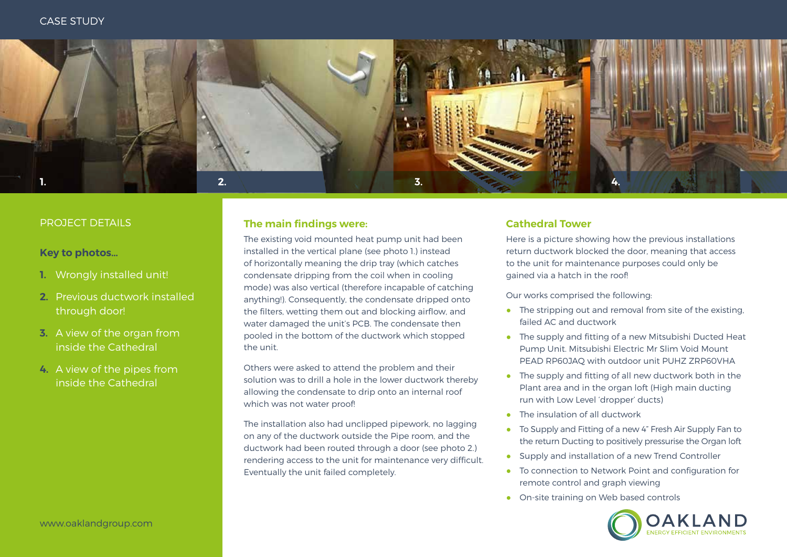

# **Key to photos…**

- **1.** Wrongly installed unit!
- **2.** Previous ductwork installed through door!
- **3.** A view of the organ from inside the Cathedral
- **4.** A view of the pipes from inside the Cathedral

## PROJECT DETAILS **The main findings were:**

The existing void mounted heat pump unit had been installed in the vertical plane (see photo 1.) instead of horizontally meaning the drip tray (which catches condensate dripping from the coil when in cooling mode) was also vertical (therefore incapable of catching anything!). Consequently, the condensate dripped onto the filters, wetting them out and blocking airflow, and water damaged the unit's PCB. The condensate then pooled in the bottom of the ductwork which stopped the unit.

Others were asked to attend the problem and their solution was to drill a hole in the lower ductwork thereby allowing the condensate to drip onto an internal roof which was not water proof!

The installation also had unclipped pipework, no lagging on any of the ductwork outside the Pipe room, and the ductwork had been routed through a door (see photo 2.) rendering access to the unit for maintenance very difficult. Eventually the unit failed completely.

# **Cathedral Tower**

Here is a picture showing how the previous installations return ductwork blocked the door, meaning that access to the unit for maintenance purposes could only be gained via a hatch in the roof!

Our works comprised the following:

- The stripping out and removal from site of the existing, failed AC and ductwork
- The supply and fitting of a new Mitsubishi Ducted Heat Pump Unit. Mitsubishi Electric Mr Slim Void Mount PEAD RP60JAQ with outdoor unit PUHZ ZRP60VHA
- The supply and fitting of all new ductwork both in the Plant area and in the organ loft (High main ducting run with Low Level 'dropper' ducts)
- The insulation of all ductwork
- To Supply and Fitting of a new 4" Fresh Air Supply Fan to the return Ducting to positively pressurise the Organ loft
- Supply and installation of a new Trend Controller
- To connection to Network Point and configuration for remote control and graph viewing
- On-site training on Web based controls